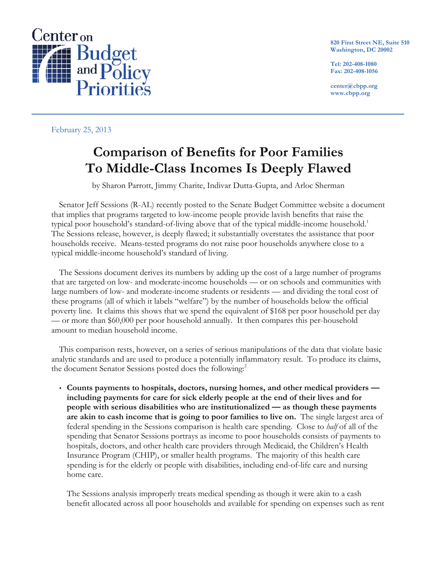

**820 First Street NE, Suite 510 Washington, DC 20002**

**Tel: 202-408-1080 Fax: 202-408-1056**

**center@cbpp.org www.cbpp.org**

## February 25, 2013

# **Comparison of Benefits for Poor Families To Middle-Class Incomes Is Deeply Flawed**

by Sharon Parrott, Jimmy Charite, Indivar Dutta-Gupta, and Arloc Sherman

Senator Jeff Sessions (R-AL) recently posted to the Senate Budget Committee website a document that implies that programs targeted to low-income people provide lavish benefits that raise the typical poor household's standard-of-living above that of the typical middle-income household.<sup>1</sup> The Sessions release, however, is deeply flawed; it substantially overstates the assistance that poor households receive. Means-tested programs do not raise poor households anywhere close to a typical middle-income household's standard of living.

The Sessions document derives its numbers by adding up the cost of a large number of programs that are targeted on low- and moderate-income households — or on schools and communities with large numbers of low- and moderate-income students or residents — and dividing the total cost of these programs (all of which it labels "welfare") by the number of households below the official poverty line. It claims this shows that we spend the equivalent of \$168 per poor household per day — or more than \$60,000 per poor household annually. It then compares this per-household amount to median household income.

This comparison rests, however, on a series of serious manipulations of the data that violate basic analytic standards and are used to produce a potentially inflammatory result. To produce its claims, the document Senator Sessions posted does the following:<sup>2</sup>

 **Counts payments to hospitals, doctors, nursing homes, and other medical providers including payments for care for sick elderly people at the end of their lives and for people with serious disabilities who are institutionalized — as though these payments are akin to cash income that is going to poor families to live on.** The single largest area of federal spending in the Sessions comparison is health care spending. Close to *half* of all of the spending that Senator Sessions portrays as income to poor households consists of payments to hospitals, doctors, and other health care providers through Medicaid, the Children's Health Insurance Program (CHIP), or smaller health programs. The majority of this health care spending is for the elderly or people with disabilities, including end-of-life care and nursing home care.

The Sessions analysis improperly treats medical spending as though it were akin to a cash benefit allocated across all poor households and available for spending on expenses such as rent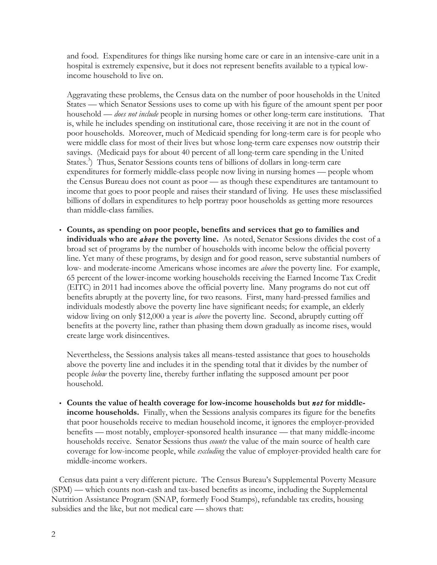and food. Expenditures for things like nursing home care or care in an intensive-care unit in a hospital is extremely expensive, but it does not represent benefits available to a typical lowincome household to live on.

Aggravating these problems, the Census data on the number of poor households in the United States — which Senator Sessions uses to come up with his figure of the amount spent per poor household — *does not include* people in nursing homes or other long-term care institutions. That is, while he includes spending on institutional care, those receiving it are not in the count of poor households. Moreover, much of Medicaid spending for long-term care is for people who were middle class for most of their lives but whose long-term care expenses now outstrip their savings. (Medicaid pays for about 40 percent of all long-term care spending in the United States.<sup>3</sup>) Thus, Senator Sessions counts tens of billions of dollars in long-term care expenditures for formerly middle-class people now living in nursing homes — people whom the Census Bureau does not count as poor — as though these expenditures are tantamount to income that goes to poor people and raises their standard of living. He uses these misclassified billions of dollars in expenditures to help portray poor households as getting more resources than middle-class families.

 **Counts, as spending on poor people, benefits and services that go to families and individuals who are** *above* **the poverty line.** As noted, Senator Sessions divides the cost of a broad set of programs by the number of households with income below the official poverty line. Yet many of these programs, by design and for good reason, serve substantial numbers of low- and moderate-income Americans whose incomes are *above* the poverty line. For example, 65 percent of the lower-income working households receiving the Earned Income Tax Credit (EITC) in 2011 had incomes above the official poverty line. Many programs do not cut off benefits abruptly at the poverty line, for two reasons. First, many hard-pressed families and individuals modestly above the poverty line have significant needs; for example, an elderly widow living on only \$12,000 a year is *above* the poverty line. Second, abruptly cutting off benefits at the poverty line, rather than phasing them down gradually as income rises, would create large work disincentives.

Nevertheless, the Sessions analysis takes all means-tested assistance that goes to households above the poverty line and includes it in the spending total that it divides by the number of people *below* the poverty line, thereby further inflating the supposed amount per poor household.

 **Counts the value of health coverage for low-income households but** *not* **for middleincome households.** Finally, when the Sessions analysis compares its figure for the benefits that poor households receive to median household income, it ignores the employer-provided benefits — most notably, employer-sponsored health insurance — that many middle-income households receive. Senator Sessions thus *counts* the value of the main source of health care coverage for low-income people, while *excluding* the value of employer-provided health care for middle-income workers.

Census data paint a very different picture. The Census Bureau's Supplemental Poverty Measure (SPM) — which counts non-cash and tax-based benefits as income, including the Supplemental Nutrition Assistance Program (SNAP, formerly Food Stamps), refundable tax credits, housing subsidies and the like, but not medical care — shows that: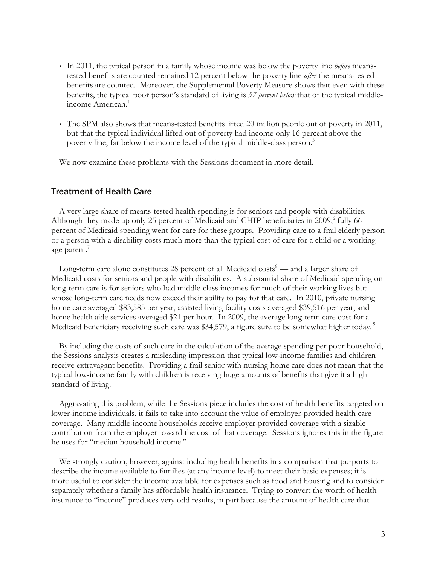- In 2011, the typical person in a family whose income was below the poverty line *before* meanstested benefits are counted remained 12 percent below the poverty line *after* the means-tested benefits are counted. Moreover, the Supplemental Poverty Measure shows that even with these benefits, the typical poor person's standard of living is *57 percent below* that of the typical middleincome American. 4
- The SPM also shows that means-tested benefits lifted 20 million people out of poverty in 2011, but that the typical individual lifted out of poverty had income only 16 percent above the poverty line, far below the income level of the typical middle-class person. 5

We now examine these problems with the Sessions document in more detail.

## Treatment of Health Care

A very large share of means-tested health spending is for seniors and people with disabilities. Although they made up only 25 percent of Medicaid and CHIP beneficiaries in  $2009$ ,  $60$  fully 66 percent of Medicaid spending went for care for these groups. Providing care to a frail elderly person or a person with a disability costs much more than the typical cost of care for a child or a workingage parent.<sup>7</sup>

Long-term care alone constitutes 28 percent of all Medicaid costs<sup>8</sup> — and a larger share of Medicaid costs for seniors and people with disabilities. A substantial share of Medicaid spending on long-term care is for seniors who had middle-class incomes for much of their working lives but whose long-term care needs now exceed their ability to pay for that care. In 2010, private nursing home care averaged \$83,585 per year, assisted living facility costs averaged \$39,516 per year, and home health aide services averaged \$21 per hour. In 2009, the average long-term care cost for a Medicaid beneficiary receiving such care was \$34,579, a figure sure to be somewhat higher today.<sup>9</sup>

By including the costs of such care in the calculation of the average spending per poor household, the Sessions analysis creates a misleading impression that typical low-income families and children receive extravagant benefits. Providing a frail senior with nursing home care does not mean that the typical low-income family with children is receiving huge amounts of benefits that give it a high standard of living.

Aggravating this problem, while the Sessions piece includes the cost of health benefits targeted on lower-income individuals, it fails to take into account the value of employer-provided health care coverage. Many middle-income households receive employer-provided coverage with a sizable contribution from the employer toward the cost of that coverage. Sessions ignores this in the figure he uses for "median household income."

We strongly caution, however, against including health benefits in a comparison that purports to describe the income available to families (at any income level) to meet their basic expenses; it is more useful to consider the income available for expenses such as food and housing and to consider separately whether a family has affordable health insurance. Trying to convert the worth of health insurance to "income" produces very odd results, in part because the amount of health care that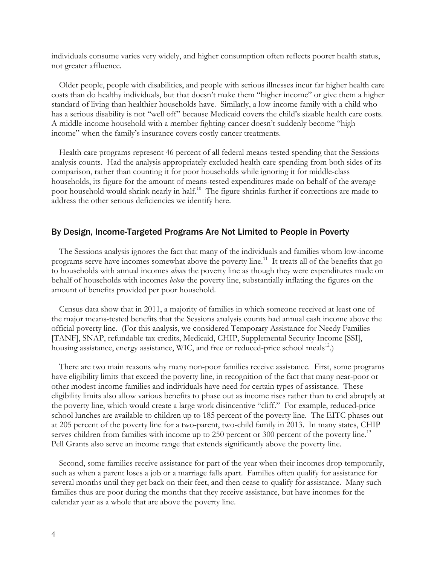individuals consume varies very widely, and higher consumption often reflects poorer health status, not greater affluence.

Older people, people with disabilities, and people with serious illnesses incur far higher health care costs than do healthy individuals, but that doesn't make them "higher income" or give them a higher standard of living than healthier households have. Similarly, a low-income family with a child who has a serious disability is not "well off" because Medicaid covers the child's sizable health care costs. A middle-income household with a member fighting cancer doesn't suddenly become "high income" when the family's insurance covers costly cancer treatments.

Health care programs represent 46 percent of all federal means-tested spending that the Sessions analysis counts. Had the analysis appropriately excluded health care spending from both sides of its comparison, rather than counting it for poor households while ignoring it for middle-class households, its figure for the amount of means-tested expenditures made on behalf of the average poor household would shrink nearly in half.<sup>10</sup> The figure shrinks further if corrections are made to address the other serious deficiencies we identify here.

### By Design, Income-Targeted Programs Are Not Limited to People in Poverty

The Sessions analysis ignores the fact that many of the individuals and families whom low-income programs serve have incomes somewhat above the poverty line.<sup>11</sup> It treats all of the benefits that go to households with annual incomes *above* the poverty line as though they were expenditures made on behalf of households with incomes *below* the poverty line, substantially inflating the figures on the amount of benefits provided per poor household.

Census data show that in 2011, a majority of families in which someone received at least one of the major means-tested benefits that the Sessions analysis counts had annual cash income above the official poverty line. (For this analysis, we considered Temporary Assistance for Needy Families [TANF], SNAP, refundable tax credits, Medicaid, CHIP, Supplemental Security Income [SSI], housing assistance, energy assistance, WIC, and free or reduced-price school meals<sup>12</sup>.)

There are two main reasons why many non-poor families receive assistance. First, some programs have eligibility limits that exceed the poverty line, in recognition of the fact that many near-poor or other modest-income families and individuals have need for certain types of assistance. These eligibility limits also allow various benefits to phase out as income rises rather than to end abruptly at the poverty line, which would create a large work disincentive "cliff." For example, reduced-price school lunches are available to children up to 185 percent of the poverty line. The EITC phases out at 205 percent of the poverty line for a two-parent, two-child family in 2013. In many states, CHIP serves children from families with income up to 250 percent or 300 percent of the poverty line.<sup>13</sup> Pell Grants also serve an income range that extends significantly above the poverty line.

Second, some families receive assistance for part of the year when their incomes drop temporarily, such as when a parent loses a job or a marriage falls apart. Families often qualify for assistance for several months until they get back on their feet, and then cease to qualify for assistance. Many such families thus are poor during the months that they receive assistance, but have incomes for the calendar year as a whole that are above the poverty line.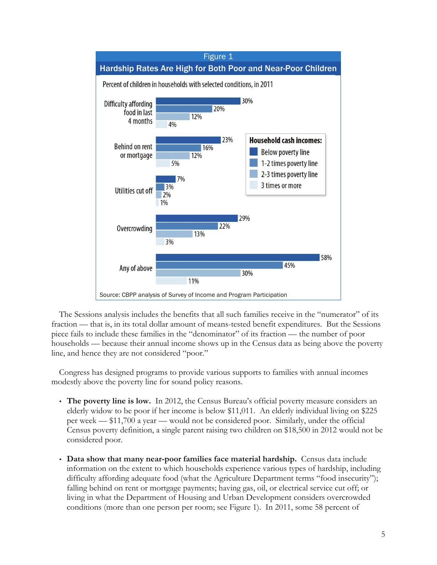

The Sessions analysis includes the benefits that all such families receive in the "numerator" of its fraction — that is, in its total dollar amount of means-tested benefit expenditures. But the Sessions piece fails to include these families in the "denominator" of its fraction — the number of poor households — because their annual income shows up in the Census data as being above the poverty line, and hence they are not considered "poor."

Congress has designed programs to provide various supports to families with annual incomes modestly above the poverty line for sound policy reasons.

- **The poverty line is low.** In 2012, the Census Bureau's official poverty measure considers an elderly widow to be poor if her income is below \$11,011. An elderly individual living on \$225 per week — \$11,700 a year — would not be considered poor. Similarly, under the official Census poverty definition, a single parent raising two children on \$18,500 in 2012 would not be considered poor.
- **Data show that many near-poor families face material hardship.** Census data include information on the extent to which households experience various types of hardship, including difficulty affording adequate food (what the Agriculture Department terms "food insecurity"); falling behind on rent or mortgage payments; having gas, oil, or electrical service cut off; or living in what the Department of Housing and Urban Development considers overcrowded conditions (more than one person per room; see Figure 1). In 2011, some 58 percent of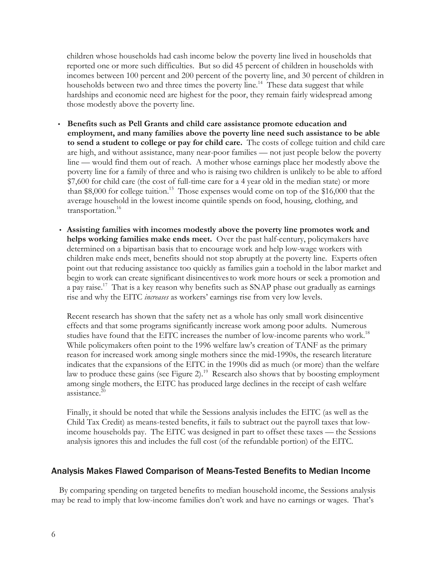children whose households had cash income below the poverty line lived in households that reported one or more such difficulties. But so did 45 percent of children in households with incomes between 100 percent and 200 percent of the poverty line, and 30 percent of children in households between two and three times the poverty line.<sup>14</sup> These data suggest that while hardships and economic need are highest for the poor, they remain fairly widespread among those modestly above the poverty line.

- **Benefits such as Pell Grants and child care assistance promote education and employment, and many families above the poverty line need such assistance to be able to send a student to college or pay for child care.** The costs of college tuition and child care are high, and without assistance, many near-poor families — not just people below the poverty line — would find them out of reach. A mother whose earnings place her modestly above the poverty line for a family of three and who is raising two children is unlikely to be able to afford \$7,600 for child care (the cost of full-time care for a 4 year old in the median state) or more than \$8,000 for college tuition.<sup>15</sup> Those expenses would come on top of the \$16,000 that the average household in the lowest income quintile spends on food, housing, clothing, and transportation.<sup>16</sup>
- **Assisting families with incomes modestly above the poverty line promotes work and helps working families make ends meet.** Over the past half-century, policymakers have determined on a bipartisan basis that to encourage work and help low-wage workers with children make ends meet, benefits should not stop abruptly at the poverty line. Experts often point out that reducing assistance too quickly as families gain a toehold in the labor market and begin to work can create significant disincentives to work more hours or seek a promotion and a pay raise.<sup>17</sup> That is a key reason why benefits such as SNAP phase out gradually as earnings rise and why the EITC *increases* as workers' earnings rise from very low levels.

Recent research has shown that the safety net as a whole has only small work disincentive effects and that some programs significantly increase work among poor adults. Numerous studies have found that the EITC increases the number of low-income parents who work.<sup>18</sup> While policymakers often point to the 1996 welfare law's creation of TANF as the primary reason for increased work among single mothers since the mid-1990s, the research literature indicates that the expansions of the EITC in the 1990s did as much (or more) than the welfare law to produce these gains (see Figure 2).<sup>19</sup> Research also shows that by boosting employment among single mothers, the EITC has produced large declines in the receipt of cash welfare assistance. 20

Finally, it should be noted that while the Sessions analysis includes the EITC (as well as the Child Tax Credit) as means-tested benefits, it fails to subtract out the payroll taxes that lowincome households pay. The EITC was designed in part to offset these taxes — the Sessions analysis ignores this and includes the full cost (of the refundable portion) of the EITC.

## Analysis Makes Flawed Comparison of Means-Tested Benefits to Median Income

By comparing spending on targeted benefits to median household income, the Sessions analysis may be read to imply that low-income families don't work and have no earnings or wages. That's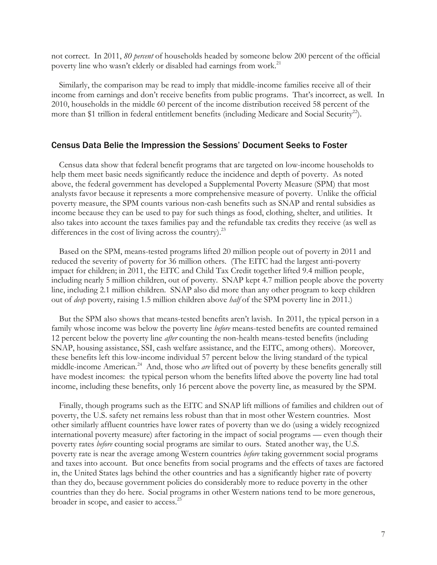not correct. In 2011, *80 percent* of households headed by someone below 200 percent of the official poverty line who wasn't elderly or disabled had earnings from work.<sup>21</sup>

Similarly, the comparison may be read to imply that middle-income families receive all of their income from earnings and don't receive benefits from public programs. That's incorrect, as well. In 2010, households in the middle 60 percent of the income distribution received 58 percent of the more than \$1 trillion in federal entitlement benefits (including Medicare and Social Security<sup>22</sup>).

#### Census Data Belie the Impression the Sessions' Document Seeks to Foster

Census data show that federal benefit programs that are targeted on low-income households to help them meet basic needs significantly reduce the incidence and depth of poverty. As noted above, the federal government has developed a Supplemental Poverty Measure (SPM) that most analysts favor because it represents a more comprehensive measure of poverty. Unlike the official poverty measure, the SPM counts various non-cash benefits such as SNAP and rental subsidies as income because they can be used to pay for such things as food, clothing, shelter, and utilities. It also takes into account the taxes families pay and the refundable tax credits they receive (as well as differences in the cost of living across the country).<sup>23</sup>

Based on the SPM, means-tested programs lifted 20 million people out of poverty in 2011 and reduced the severity of poverty for 36 million others. (The EITC had the largest anti-poverty impact for children; in 2011, the EITC and Child Tax Credit together lifted 9.4 million people, including nearly 5 million children, out of poverty. SNAP kept 4.7 million people above the poverty line, including 2.1 million children. SNAP also did more than any other program to keep children out of *deep* poverty, raising 1.5 million children above *half* of the SPM poverty line in 2011.)

But the SPM also shows that means-tested benefits aren't lavish. In 2011, the typical person in a family whose income was below the poverty line *before* means-tested benefits are counted remained 12 percent below the poverty line *after* counting the non-health means-tested benefits (including SNAP, housing assistance, SSI, cash welfare assistance, and the EITC, among others). Moreover, these benefits left this low-income individual 57 percent below the living standard of the typical middle-income American*.* <sup>24</sup> And, those who *are* lifted out of poverty by these benefits generally still have modest incomes: the typical person whom the benefits lifted above the poverty line had total income, including these benefits, only 16 percent above the poverty line, as measured by the SPM.

Finally, though programs such as the EITC and SNAP lift millions of families and children out of poverty, the U.S. safety net remains less robust than that in most other Western countries. Most other similarly affluent countries have lower rates of poverty than we do (using a widely recognized international poverty measure) after factoring in the impact of social programs — even though their poverty rates *before* counting social programs are similar to ours. Stated another way, the U.S. poverty rate is near the average among Western countries *before* taking government social programs and taxes into account. But once benefits from social programs and the effects of taxes are factored in, the United States lags behind the other countries and has a significantly higher rate of poverty than they do, because government policies do considerably more to reduce poverty in the other countries than they do here. Social programs in other Western nations tend to be more generous, broader in scope, and easier to access.<sup>25</sup>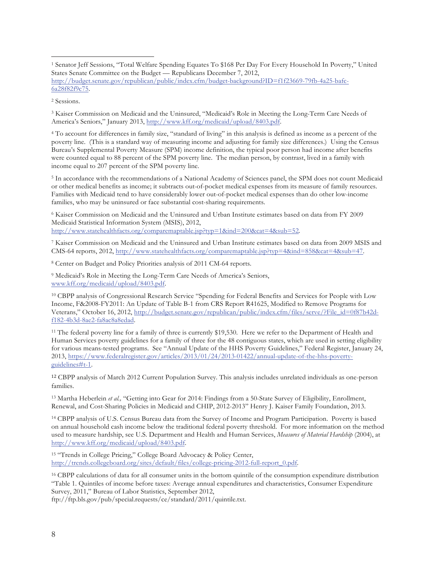<sup>3</sup> Kaiser Commission on Medicaid and the Uninsured, "Medicaid's Role in Meeting the Long-Term Care Needs of America's Seniors," January 2013, http://www.kff.org/medicaid/upload/8403.pdf.

<sup>4</sup> To account for differences in family size, "standard of living" in this analysis is defined as income as a percent of the poverty line. (This is a standard way of measuring income and adjusting for family size differences.) Using the Census Bureau's Supplemental Poverty Measure (SPM) income definition, the typical poor person had income after benefits were counted equal to 88 percent of the SPM poverty line. The median person, by contrast, lived in a family with income equal to 207 percent of the SPM poverty line.

<sup>5</sup> In accordance with the recommendations of a National Academy of Sciences panel, the SPM does not count Medicaid or other medical benefits as income; it subtracts out-of-pocket medical expenses from its measure of family resources. Families with Medicaid tend to have considerably lower out-of-pocket medical expenses than do other low-income families, who may be uninsured or face substantial cost-sharing requirements.

<sup>6</sup> Kaiser Commission on Medicaid and the Uninsured and Urban Institute estimates based on data from FY 2009 Medicaid Statistical Information System (MSIS), 2012, http://www.statehealthfacts.org/comparemaptable.jsp?typ=1&ind=200&cat=4&sub=52.

<sup>7</sup> Kaiser Commission on Medicaid and the Uninsured and Urban Institute estimates based on data from 2009 MSIS and

CMS-64 reports, 2012, http://www.statehealthfacts.org/comparemaptable.jsp?typ=4&ind=858&cat=4&sub=47.

<sup>8</sup> Center on Budget and Policy Priorities analysis of 2011 CM-64 reports.

<sup>9</sup> Medicaid's Role in Meeting the Long-Term Care Needs of America's Seniors, www.kff.org/medicaid/upload/8403.pdf.

<sup>10</sup> CBPP analysis of Congressional Research Service "Spending for Federal Benefits and Services for People with Low Income, F&2008-FY2011: An Update of Table B-1 from CRS Report R41625, Modified to Remove Programs for Veterans," October 16, 2012, http://budget.senate.gov/republican/public/index.cfm/files/serve/?File\_id=0f87b42df182-4b3d-8ae2-fa8ac8a8edad.

<sup>11</sup> The federal poverty line for a family of three is currently \$19,530. Here we refer to the Department of Health and Human Services poverty guidelines for a family of three for the 48 contiguous states, which are used in setting eligibility for various means-tested programs. See "Annual Update of the HHS Poverty Guidelines," Federal Register, January 24, 2013, https://www.federalregister.gov/articles/2013/01/24/2013-01422/annual-update-of-the-hhs-povertyguidelines#t-1.

<sup>12</sup> CBPP analysis of March 2012 Current Population Survey. This analysis includes unrelated individuals as one-person families.

<sup>13</sup> Martha Heberlein *et al.,* "Getting into Gear for 2014: Findings from a 50-State Survey of Eligibility, Enrollment, Renewal, and Cost-Sharing Policies in Medicaid and CHIP, 2012-2013" Henry J. Kaiser Family Foundation, 2013.

<sup>14</sup> CBPP analysis of U.S. Census Bureau data from the Survey of Income and Program Participation. Poverty is based on annual household cash income below the traditional federal poverty threshold. For more information on the method used to measure hardship, see U.S. Department and Health and Human Services, *Measures of Material Hardship* (2004), at http://www.kff.org/medicaid/upload/8403.pdf.

<sup>15</sup> "Trends in College Pricing," College Board Advocacy & Policy Center, http://trends.collegeboard.org/sites/default/files/college-pricing-2012-full-report\_0.pdf.

<sup>16</sup> CBPP calculations of data for all consumer units in the bottom quintile of the consumption expenditure distribution "Table 1. Quintiles of income before taxes: Average annual expenditures and characteristics, Consumer Expenditure Survey, 2011," Bureau of Labor Statistics, September 2012,

ftp://ftp.bls.gov/pub/special.requests/ce/standard/2011/quintile.txt.

 <sup>1</sup> Senator Jeff Sessions, "Total Welfare Spending Equates To \$168 Per Day For Every Household In Poverty," United States Senate Committee on the Budget — Republicans December 7, 2012, http://budget.senate.gov/republican/public/index.cfm/budget-background?ID=f1f23669-79fb-4a25-bafc-6a28f82f9c75.

<sup>2</sup> Sessions.